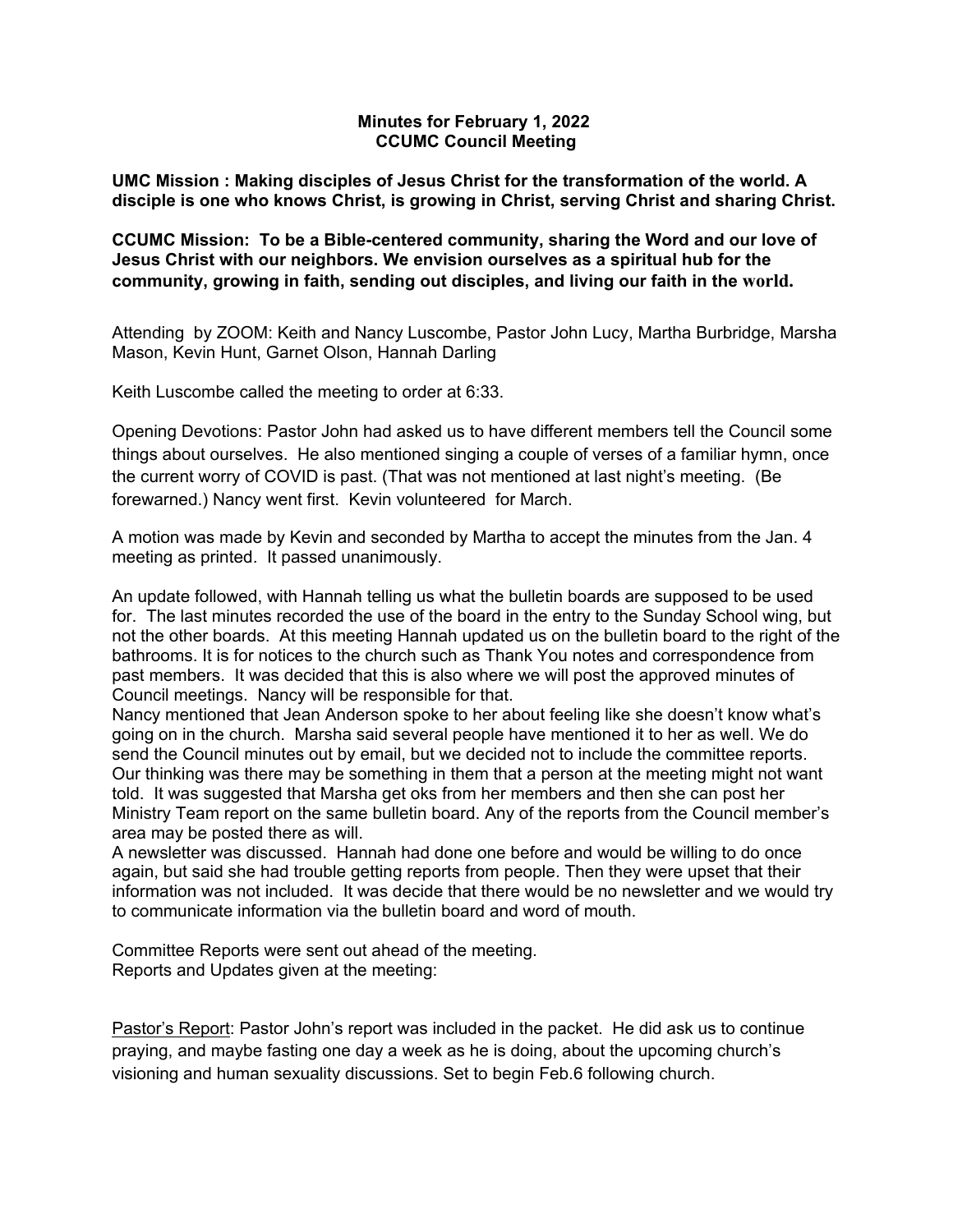# **Minutes for February 1, 2022 CCUMC Council Meeting**

**UMC Mission : Making disciples of Jesus Christ for the transformation of the world. A disciple is one who knows Christ, is growing in Christ, serving Christ and sharing Christ.**

**CCUMC Mission: To be a Bible-centered community, sharing the Word and our love of Jesus Christ with our neighbors. We envision ourselves as a spiritual hub for the community, growing in faith, sending out disciples, and living our faith in the world.**

Attending by ZOOM: Keith and Nancy Luscombe, Pastor John Lucy, Martha Burbridge, Marsha Mason, Kevin Hunt, Garnet Olson, Hannah Darling

Keith Luscombe called the meeting to order at 6:33.

Opening Devotions: Pastor John had asked us to have different members tell the Council some things about ourselves. He also mentioned singing a couple of verses of a familiar hymn, once the current worry of COVID is past. (That was not mentioned at last night's meeting. (Be forewarned.) Nancy went first. Kevin volunteered for March.

A motion was made by Kevin and seconded by Martha to accept the minutes from the Jan. 4 meeting as printed. It passed unanimously.

An update followed, with Hannah telling us what the bulletin boards are supposed to be used for. The last minutes recorded the use of the board in the entry to the Sunday School wing, but not the other boards. At this meeting Hannah updated us on the bulletin board to the right of the bathrooms. It is for notices to the church such as Thank You notes and correspondence from past members. It was decided that this is also where we will post the approved minutes of Council meetings. Nancy will be responsible for that.

Nancy mentioned that Jean Anderson spoke to her about feeling like she doesn't know what's going on in the church. Marsha said several people have mentioned it to her as well. We do send the Council minutes out by email, but we decided not to include the committee reports. Our thinking was there may be something in them that a person at the meeting might not want told. It was suggested that Marsha get oks from her members and then she can post her Ministry Team report on the same bulletin board. Any of the reports from the Council member's area may be posted there as will.

A newsletter was discussed. Hannah had done one before and would be willing to do once again, but said she had trouble getting reports from people. Then they were upset that their information was not included. It was decide that there would be no newsletter and we would try to communicate information via the bulletin board and word of mouth.

Committee Reports were sent out ahead of the meeting. Reports and Updates given at the meeting:

Pastor's Report: Pastor John's report was included in the packet. He did ask us to continue praying, and maybe fasting one day a week as he is doing, about the upcoming church's visioning and human sexuality discussions. Set to begin Feb.6 following church.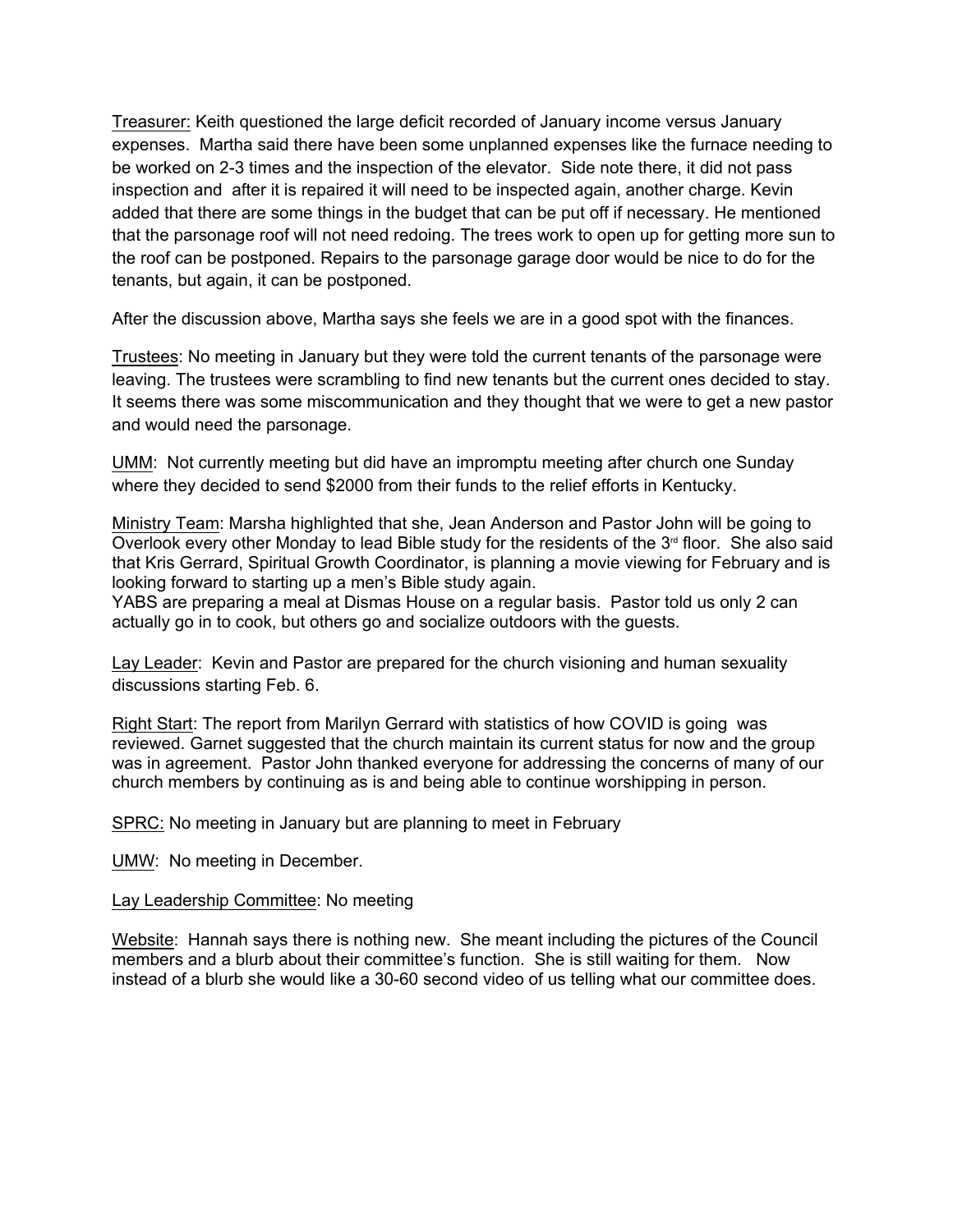Treasurer: Keith questioned the large deficit recorded of January income versus January expenses. Martha said there have been some unplanned expenses like the furnace needing to be worked on 2-3 times and the inspection of the elevator. Side note there, it did not pass inspection and after it is repaired it will need to be inspected again, another charge. Kevin added that there are some things in the budget that can be put off if necessary. He mentioned that the parsonage roof will not need redoing. The trees work to open up for getting more sun to the roof can be postponed. Repairs to the parsonage garage door would be nice to do for the tenants, but again, it can be postponed.

After the discussion above, Martha says she feels we are in a good spot with the finances.

Trustees: No meeting in January but they were told the current tenants of the parsonage were leaving. The trustees were scrambling to find new tenants but the current ones decided to stay. It seems there was some miscommunication and they thought that we were to get a new pastor and would need the parsonage.

UMM: Not currently meeting but did have an impromptu meeting after church one Sunday where they decided to send \$2000 from their funds to the relief efforts in Kentucky.

Ministry Team: Marsha highlighted that she, Jean Anderson and Pastor John will be going to Overlook every other Monday to lead Bible study for the residents of the  $3<sup>rd</sup>$  floor. She also said that Kris Gerrard, Spiritual Growth Coordinator, is planning a movie viewing for February and is looking forward to starting up a men's Bible study again.

YABS are preparing a meal at Dismas House on a regular basis. Pastor told us only 2 can actually go in to cook, but others go and socialize outdoors with the guests.

Lay Leader: Kevin and Pastor are prepared for the church visioning and human sexuality discussions starting Feb. 6.

Right Start: The report from Marilyn Gerrard with statistics of how COVID is going was reviewed. Garnet suggested that the church maintain its current status for now and the group was in agreement. Pastor John thanked everyone for addressing the concerns of many of our church members by continuing as is and being able to continue worshipping in person.

SPRC: No meeting in January but are planning to meet in February

UMW: No meeting in December.

## Lay Leadership Committee: No meeting

Website: Hannah says there is nothing new. She meant including the pictures of the Council members and a blurb about their committee's function. She is still waiting for them. Now instead of a blurb she would like a 30-60 second video of us telling what our committee does.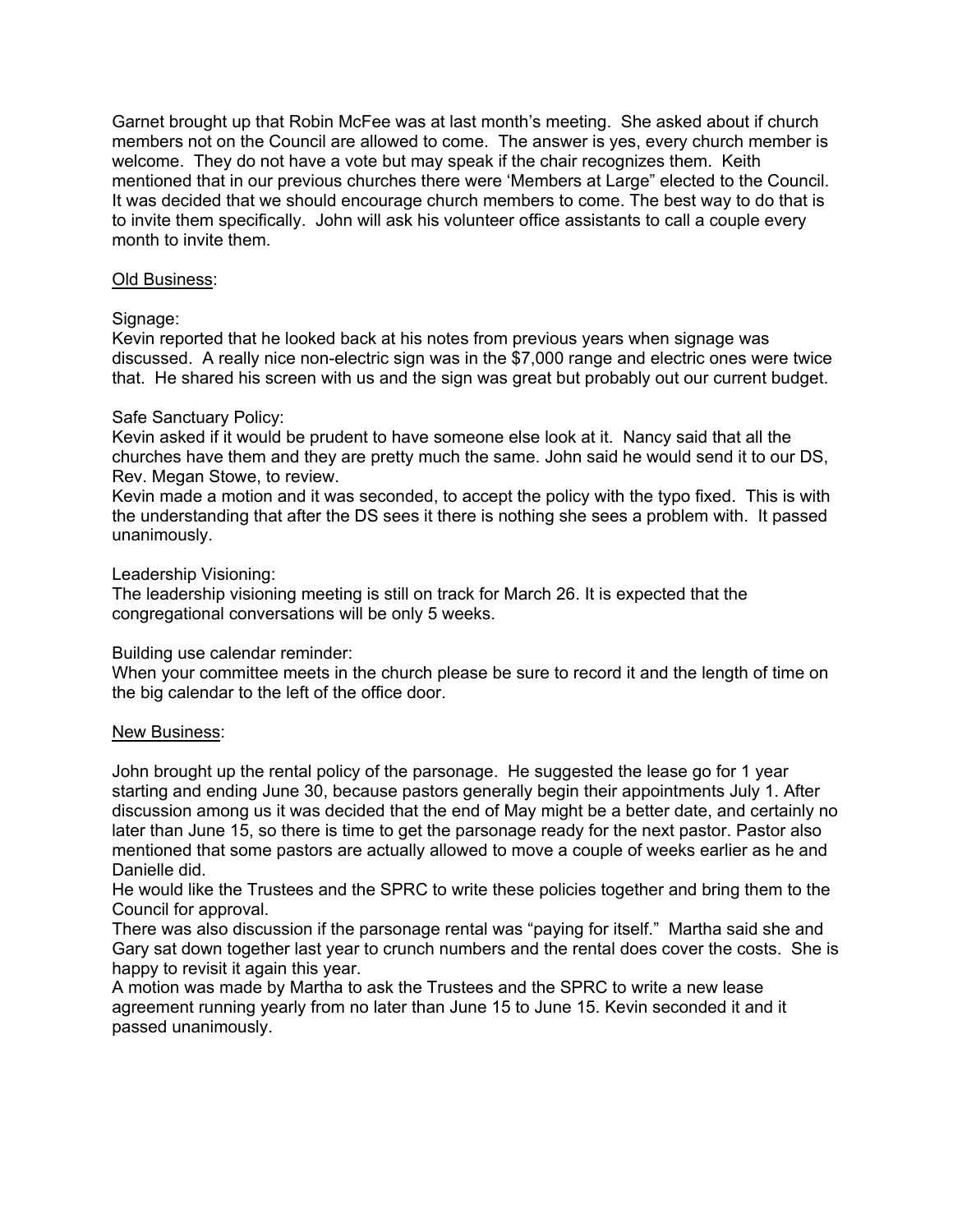Garnet brought up that Robin McFee was at last month's meeting. She asked about if church members not on the Council are allowed to come. The answer is yes, every church member is welcome. They do not have a vote but may speak if the chair recognizes them. Keith mentioned that in our previous churches there were 'Members at Large" elected to the Council. It was decided that we should encourage church members to come. The best way to do that is to invite them specifically. John will ask his volunteer office assistants to call a couple every month to invite them.

## Old Business:

# Signage:

Kevin reported that he looked back at his notes from previous years when signage was discussed. A really nice non-electric sign was in the \$7,000 range and electric ones were twice that. He shared his screen with us and the sign was great but probably out our current budget.

# Safe Sanctuary Policy:

Kevin asked if it would be prudent to have someone else look at it. Nancy said that all the churches have them and they are pretty much the same. John said he would send it to our DS, Rev. Megan Stowe, to review.

Kevin made a motion and it was seconded, to accept the policy with the typo fixed. This is with the understanding that after the DS sees it there is nothing she sees a problem with. It passed unanimously.

# Leadership Visioning:

The leadership visioning meeting is still on track for March 26. It is expected that the congregational conversations will be only 5 weeks.

## Building use calendar reminder:

When your committee meets in the church please be sure to record it and the length of time on the big calendar to the left of the office door.

## New Business:

John brought up the rental policy of the parsonage. He suggested the lease go for 1 year starting and ending June 30, because pastors generally begin their appointments July 1. After discussion among us it was decided that the end of May might be a better date, and certainly no later than June 15, so there is time to get the parsonage ready for the next pastor. Pastor also mentioned that some pastors are actually allowed to move a couple of weeks earlier as he and Danielle did.

He would like the Trustees and the SPRC to write these policies together and bring them to the Council for approval.

There was also discussion if the parsonage rental was "paying for itself." Martha said she and Gary sat down together last year to crunch numbers and the rental does cover the costs. She is happy to revisit it again this year.

A motion was made by Martha to ask the Trustees and the SPRC to write a new lease agreement running yearly from no later than June 15 to June 15. Kevin seconded it and it passed unanimously.